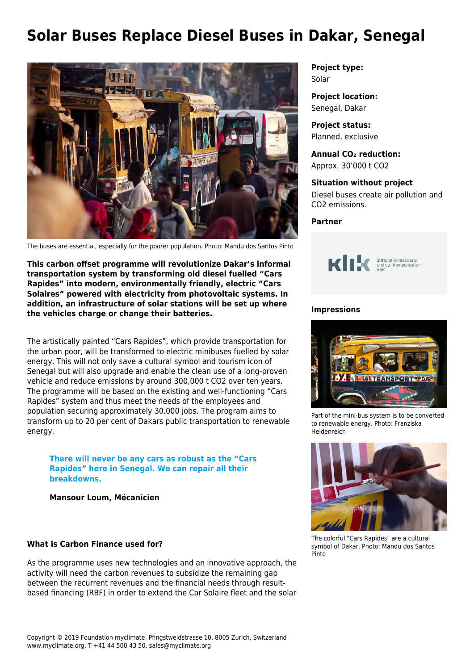# **Solar Buses Replace Diesel Buses in Dakar, Senegal**



The buses are essential, especially for the poorer population. Photo: Mandu dos Santos Pinto

**This carbon offset programme will revolutionize Dakar's informal transportation system by transforming old diesel fuelled "Cars Rapides" into modern, environmentally friendly, electric "Cars Solaires" powered with electricity from photovoltaic systems. In addition, an infrastructure of solar stations will be set up where the vehicles charge or change their batteries.**

The artistically painted "Cars Rapides", which provide transportation for the urban poor, will be transformed to electric minibuses fuelled by solar energy. This will not only save a cultural symbol and tourism icon of Senegal but will also upgrade and enable the clean use of a long-proven vehicle and reduce emissions by around 300,000 t CO2 over ten years. The programme will be based on the existing and well-functioning "Cars Rapides" system and thus meet the needs of the employees and population securing approximately 30,000 jobs. The program aims to transform up to 20 per cent of Dakars public transportation to renewable energy.

**There will never be any cars as robust as the "Cars Rapides" here in Senegal. We can repair all their breakdowns.** 

**Mansour Loum, Mécanicien** 

#### **What is Carbon Finance used for?**

As the programme uses new technologies and an innovative approach, the activity will need the carbon revenues to subsidize the remaining gap between the recurrent revenues and the financial needs through resultbased financing (RBF) in order to extend the Car Solaire fleet and the solar

**Project type:** Solar

**Project location:** Senegal, Dakar

**Project status:** Planned, exclusive

**Annual CO₂ reduction:** Approx. 30'000 t CO2

**Situation without project** Diesel buses create air pollution and CO2 emissions.

**Partner**



#### **Impressions**



Part of the mini-bus system is to be converted to renewable energy. Photo: Franziska Heidenreich



The colorful "Cars Rapides" are a cultural symbol of Dakar. Photo: Mandu dos Santos Pinto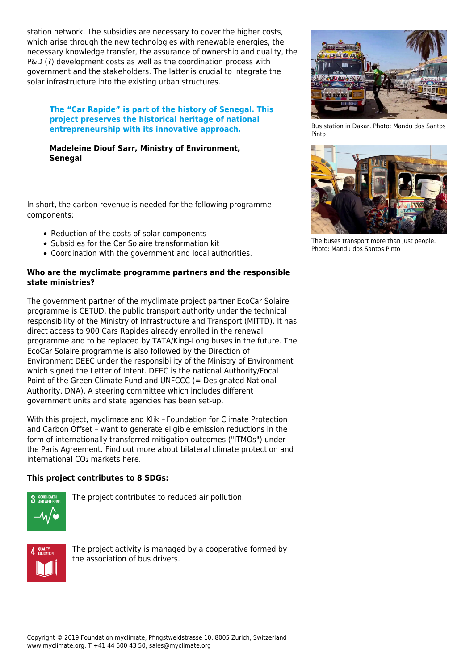station network. The subsidies are necessary to cover the higher costs, which arise through the new technologies with renewable energies, the necessary knowledge transfer, the assurance of ownership and quality, the P&D (?) development costs as well as the coordination process with government and the stakeholders. The latter is crucial to integrate the solar infrastructure into the existing urban structures.

### **The "Car Rapide" is part of the history of Senegal. This project preserves the historical heritage of national entrepreneurship with its innovative approach.**

# **Madeleine Diouf Sarr, Ministry of Environment, Senegal**

In short, the carbon revenue is needed for the following programme components:

- Reduction of the costs of solar components
- Subsidies for the Car Solaire transformation kit
- Coordination with the government and local authorities.

# **Who are the myclimate programme partners and the responsible state ministries?**

The government partner of the myclimate project partner EcoCar Solaire programme is CETUD, the public transport authority under the technical responsibility of the Ministry of Infrastructure and Transport (MITTD). It has direct access to 900 Cars Rapides already enrolled in the renewal programme and to be replaced by TATA/King-Long buses in the future. The EcoCar Solaire programme is also followed by the Direction of Environment DEEC under the responsibility of the Ministry of Environment which signed the Letter of Intent. DEEC is the national Authority/Focal Point of the Green Climate Fund and UNFCCC (= Designated National Authority, DNA). A steering committee which includes different government units and state agencies has been set-up.

With this project, myclimate and [Klik – Foundation for Climate Protection](https://www.myclimate.org/information/partners-in-climate-protection/partner-detail/klik-offsetting-projects-for-the-compliance-market/) [and Carbon Offset](https://www.myclimate.org/information/partners-in-climate-protection/partner-detail/klik-offsetting-projects-for-the-compliance-market/) – want to generate eligible emission reductions in the form of internationally transferred mitigation outcomes ("ITMOs") under the Paris Agreement. Find out more about bilateral climate protection and international CO₂ markets [here](https://www.myclimate.org/information/faq/faq-detail/bilateral-climate-protection/).

# **This project contributes to 8 SDGs:**



The project contributes to reduced air pollution.



The project activity is managed by a cooperative formed by the association of bus drivers.



Bus station in Dakar. Photo: Mandu dos Santos Pinto



The buses transport more than just people. Photo: Mandu dos Santos Pinto